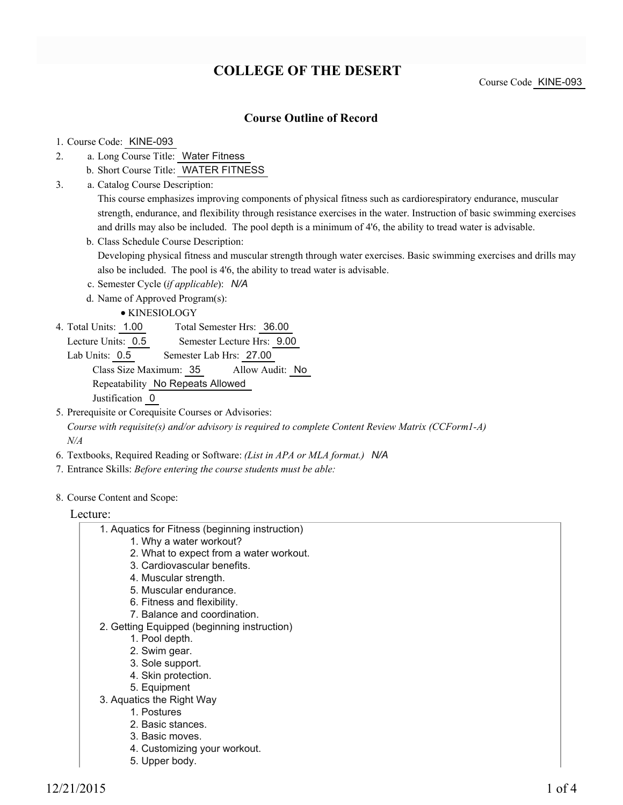# **COLLEGE OF THE DESERT**

Course Code KINE-093

## **Course Outline of Record**

#### 1. Course Code: KINE-093

- a. Long Course Title: Water Fitness 2.
	- b. Short Course Title: WATER FITNESS
- Catalog Course Description: a. 3.

This course emphasizes improving components of physical fitness such as cardiorespiratory endurance, muscular strength, endurance, and flexibility through resistance exercises in the water. Instruction of basic swimming exercises and drills may also be included. The pool depth is a minimum of 4'6, the ability to tread water is advisable.

b. Class Schedule Course Description:

Developing physical fitness and muscular strength through water exercises. Basic swimming exercises and drills may also be included. The pool is 4'6, the ability to tread water is advisable.

c. Semester Cycle (*if applicable*): *N/A*

d. Name of Approved Program(s):

KINESIOLOGY

- Total Semester Hrs: 36.00 4. Total Units: 1.00
	- Lecture Units: 0.5 Semester Lecture Hrs: 9.00

Lab Units: 0.5 Semester Lab Hrs: 27.00 Class Size Maximum: 35 Allow Audit: No Repeatability No Repeats Allowed Justification 0

- 5. Prerequisite or Corequisite Courses or Advisories: *Course with requisite(s) and/or advisory is required to complete Content Review Matrix (CCForm1-A) N/A*
- 6. Textbooks, Required Reading or Software: *(List in APA or MLA format.) N/A*
- 7. Entrance Skills: *Before entering the course students must be able:*
- 8. Course Content and Scope:

#### Lecture:

### Aquatics for Fitness (beginning instruction) 1.

- 1. Why a water workout?
- 2. What to expect from a water workout.
- 3. Cardiovascular benefits.
- 4. Muscular strength.
- 5. Muscular endurance.
- 6. Fitness and flexibility.
- 7. Balance and coordination.
- 2. Getting Equipped (beginning instruction)
	- 1. Pool depth.
	- 2. Swim gear.
	- 3. Sole support.
	- 4. Skin protection.
	- 5. Equipment
- 3. Aquatics the Right Way
	- 1. Postures
	- 2. Basic stances.
	- 3. Basic moves.
	- 4. Customizing your workout.
	- 5. Upper body.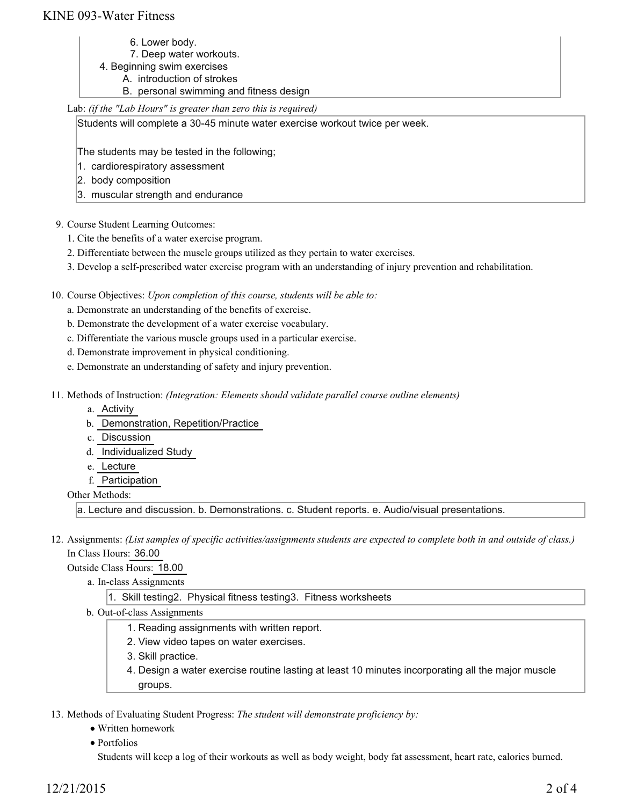## KINE 093-Water Fitness

- 6. Lower body.
- 7. Deep water workouts.
- 4. Beginning swim exercises
	- A. introduction of strokes
	- B. personal swimming and fitness design

### Lab: *(if the "Lab Hours" is greater than zero this is required)*

Students will complete a 30-45 minute water exercise workout twice per week.

The students may be tested in the following;

- 1. cardiorespiratory assessment
- 2. body composition
- 3. muscular strength and endurance
- 9. Course Student Learning Outcomes:
	- 1. Cite the benefits of a water exercise program.
	- 2. Differentiate between the muscle groups utilized as they pertain to water exercises.
	- 3. Develop a self-prescribed water exercise program with an understanding of injury prevention and rehabilitation.

10. Course Objectives: Upon completion of this course, students will be able to:

- a. Demonstrate an understanding of the benefits of exercise.
- b. Demonstrate the development of a water exercise vocabulary.
- c. Differentiate the various muscle groups used in a particular exercise.
- d. Demonstrate improvement in physical conditioning.
- e. Demonstrate an understanding of safety and injury prevention.
- Methods of Instruction: *(Integration: Elements should validate parallel course outline elements)* 11.
	- a. Activity
	- b. Demonstration, Repetition/Practice
	- c. Discussion
	- d. Individualized Study
	- e. Lecture
	- f. Participation
	- Other Methods:

a. Lecture and discussion. b. Demonstrations. c. Student reports. e. Audio/visual presentations.

12. Assignments: (List samples of specific activities/assignments students are expected to complete both in and outside of class.) In Class Hours: 36.00

Outside Class Hours: 18.00

- a. In-class Assignments
	- 1. Skill testing2. Physical fitness testing3. Fitness worksheets
- b. Out-of-class Assignments
	- 1. Reading assignments with written report.
	- 2. View video tapes on water exercises.
	- 3. Skill practice.
	- 4. Design a water exercise routine lasting at least 10 minutes incorporating all the major muscle groups.

13. Methods of Evaluating Student Progress: The student will demonstrate proficiency by:

- Written homework
- Portfolios

Students will keep a log of their workouts as well as body weight, body fat assessment, heart rate, calories burned.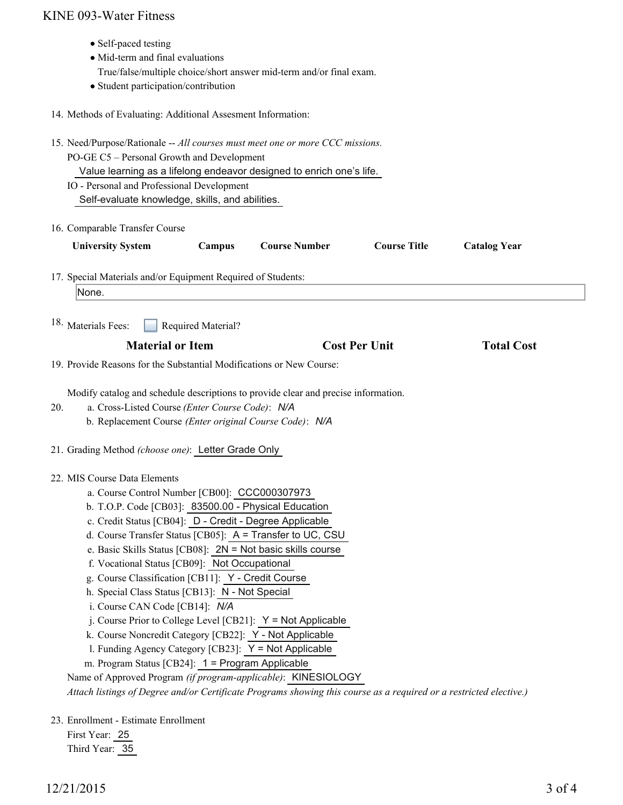# KINE 093-Water Fitness

| • Self-paced testing<br>• Mid-term and final evaluations<br>True/false/multiple choice/short answer mid-term and/or final exam.<br>• Student participation/contribution                                                                                                                                                                                                                                                                                                                                                                                                                                                                                                                                                                                                                                                                                                                                                                                    |                      |                      |                     |
|------------------------------------------------------------------------------------------------------------------------------------------------------------------------------------------------------------------------------------------------------------------------------------------------------------------------------------------------------------------------------------------------------------------------------------------------------------------------------------------------------------------------------------------------------------------------------------------------------------------------------------------------------------------------------------------------------------------------------------------------------------------------------------------------------------------------------------------------------------------------------------------------------------------------------------------------------------|----------------------|----------------------|---------------------|
| 14. Methods of Evaluating: Additional Assesment Information:                                                                                                                                                                                                                                                                                                                                                                                                                                                                                                                                                                                                                                                                                                                                                                                                                                                                                               |                      |                      |                     |
| 15. Need/Purpose/Rationale -- All courses must meet one or more CCC missions.<br>PO-GE C5 - Personal Growth and Development<br>Value learning as a lifelong endeavor designed to enrich one's life.<br>IO - Personal and Professional Development<br>Self-evaluate knowledge, skills, and abilities.                                                                                                                                                                                                                                                                                                                                                                                                                                                                                                                                                                                                                                                       |                      |                      |                     |
| 16. Comparable Transfer Course                                                                                                                                                                                                                                                                                                                                                                                                                                                                                                                                                                                                                                                                                                                                                                                                                                                                                                                             |                      |                      |                     |
| <b>University System</b><br>Campus                                                                                                                                                                                                                                                                                                                                                                                                                                                                                                                                                                                                                                                                                                                                                                                                                                                                                                                         | <b>Course Number</b> | <b>Course Title</b>  | <b>Catalog Year</b> |
| 17. Special Materials and/or Equipment Required of Students:<br>None.                                                                                                                                                                                                                                                                                                                                                                                                                                                                                                                                                                                                                                                                                                                                                                                                                                                                                      |                      |                      |                     |
| <sup>18.</sup> Materials Fees:<br>Required Material?                                                                                                                                                                                                                                                                                                                                                                                                                                                                                                                                                                                                                                                                                                                                                                                                                                                                                                       |                      |                      |                     |
| <b>Material or Item</b>                                                                                                                                                                                                                                                                                                                                                                                                                                                                                                                                                                                                                                                                                                                                                                                                                                                                                                                                    |                      | <b>Cost Per Unit</b> | <b>Total Cost</b>   |
| 19. Provide Reasons for the Substantial Modifications or New Course:                                                                                                                                                                                                                                                                                                                                                                                                                                                                                                                                                                                                                                                                                                                                                                                                                                                                                       |                      |                      |                     |
| Modify catalog and schedule descriptions to provide clear and precise information.<br>a. Cross-Listed Course (Enter Course Code): N/A<br>20.<br>b. Replacement Course (Enter original Course Code): N/A<br>21. Grading Method (choose one): Letter Grade Only                                                                                                                                                                                                                                                                                                                                                                                                                                                                                                                                                                                                                                                                                              |                      |                      |                     |
|                                                                                                                                                                                                                                                                                                                                                                                                                                                                                                                                                                                                                                                                                                                                                                                                                                                                                                                                                            |                      |                      |                     |
| 22. MIS Course Data Elements<br>a. Course Control Number [CB00]: CCC000307973<br>b. T.O.P. Code [CB03]: 83500.00 - Physical Education<br>c. Credit Status [CB04]: D - Credit - Degree Applicable<br>d. Course Transfer Status [CB05]: A = Transfer to UC, CSU<br>e. Basic Skills Status [CB08]: $2N = Not$ basic skills course<br>f. Vocational Status [CB09]: Not Occupational<br>g. Course Classification [CB11]: Y - Credit Course<br>h. Special Class Status [CB13]: N - Not Special<br>i. Course CAN Code [CB14]: N/A<br>j. Course Prior to College Level [CB21]: $Y = Not$ Applicable<br>k. Course Noncredit Category [CB22]: Y - Not Applicable<br>1. Funding Agency Category [CB23]: Y = Not Applicable<br>m. Program Status [CB24]: 1 = Program Applicable<br>Name of Approved Program (if program-applicable): KINESIOLOGY<br>Attach listings of Degree and/or Certificate Programs showing this course as a required or a restricted elective.) |                      |                      |                     |
| 23. Enrollment - Estimate Enrollment<br>First Year: 25                                                                                                                                                                                                                                                                                                                                                                                                                                                                                                                                                                                                                                                                                                                                                                                                                                                                                                     |                      |                      |                     |

12/21/2015 3 of 4

Third Year: 35